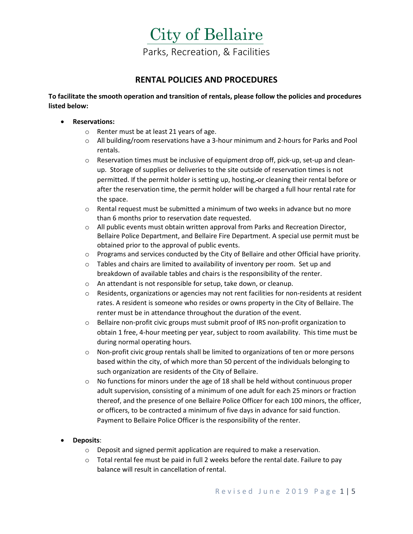

### **RENTAL POLICIES AND PROCEDURES**

**To facilitate the smooth operation and transition of rentals, please follow the policies and procedures listed below:**

- **Reservations:** 
	- o Renter must be at least 21 years of age.
	- o All building/room reservations have a 3-hour minimum and 2-hours for Parks and Pool rentals.
	- $\circ$  Reservation times must be inclusive of equipment drop off, pick-up, set-up and cleanup. Storage of supplies or deliveries to the site outside of reservation times is not permitted. If the permit holder is setting up, hosting, or cleaning their rental before or after the reservation time, the permit holder will be charged a full hour rental rate for the space.
	- $\circ$  Rental request must be submitted a minimum of two weeks in advance but no more than 6 months prior to reservation date requested.
	- $\circ$  All public events must obtain written approval from Parks and Recreation Director, Bellaire Police Department, and Bellaire Fire Department. A special use permit must be obtained prior to the approval of public events.
	- $\circ$  Programs and services conducted by the City of Bellaire and other Official have priority.
	- $\circ$  Tables and chairs are limited to availability of inventory per room. Set up and breakdown of available tables and chairs is the responsibility of the renter.
	- o An attendant is not responsible for setup, take down, or cleanup.
	- $\circ$  Residents, organizations or agencies may not rent facilities for non-residents at resident rates. A resident is someone who resides or owns property in the City of Bellaire. The renter must be in attendance throughout the duration of the event.
	- o Bellaire non-profit civic groups must submit proof of IRS non-profit organization to obtain 1 free, 4-hour meeting per year, subject to room availability. This time must be during normal operating hours.
	- o Non-profit civic group rentals shall be limited to organizations of ten or more persons based within the city, of which more than 50 percent of the individuals belonging to such organization are residents of the City of Bellaire.
	- $\circ$  No functions for minors under the age of 18 shall be held without continuous proper adult supervision, consisting of a minimum of one adult for each 25 minors or fraction thereof, and the presence of one Bellaire Police Officer for each 100 minors, the officer, or officers, to be contracted a minimum of five days in advance for said function. Payment to Bellaire Police Officer is the responsibility of the renter.
- **Deposits**:
	- $\circ$  Deposit and signed permit application are required to make a reservation.
	- $\circ$  Total rental fee must be paid in full 2 weeks before the rental date. Failure to pay balance will result in cancellation of rental.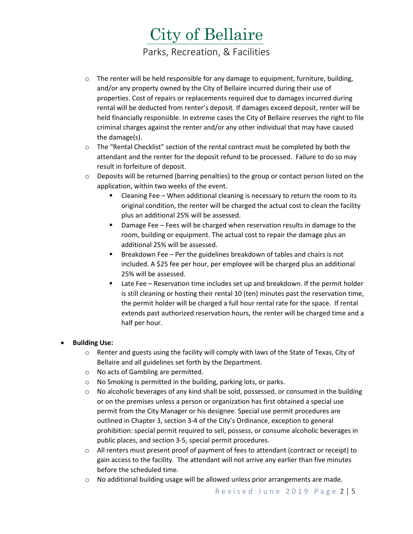## City of Bellaire Parks, Recreation, & Facilities

- $\circ$  The renter will be held responsible for any damage to equipment, furniture, building, and/or any property owned by the City of Bellaire incurred during their use of properties. Cost of repairs or replacements required due to damages incurred during rental will be deducted from renter's deposit. If damages exceed deposit, renter will be held financially responsible. In extreme cases the City of Bellaire reserves the right to file criminal charges against the renter and/or any other individual that may have caused the damage(s).
- o The "Rental Checklist" section of the rental contract must be completed by both the attendant and the renter for the deposit refund to be processed. Failure to do so may result in forfeiture of deposit.
- $\circ$  Deposits will be returned (barring penalties) to the group or contact person listed on the application, within two weeks of the event.
	- Cleaning Fee When additional cleaning is necessary to return the room to its original condition, the renter will be charged the actual cost to clean the facility plus an additional 25% will be assessed.
	- **•** Damage Fee Fees will be charged when reservation results in damage to the room, building or equipment. The actual cost to repair the damage plus an additional 25% will be assessed.
	- Breakdown Fee Per the guidelines breakdown of tables and chairs is not included. A \$25 fee per hour, per employee will be charged plus an additional 25% will be assessed.
	- Late Fee Reservation time includes set up and breakdown. If the permit holder is still cleaning or hosting their rental 10 (ten) minutes past the reservation time, the permit holder will be charged a full hour rental rate for the space. If rental extends past authorized reservation hours, the renter will be charged time and a half per hour.

### • **Building Use:**

- $\circ$  Renter and guests using the facility will comply with laws of the State of Texas, City of Bellaire and all guidelines set forth by the Department.
- o No acts of Gambling are permitted.
- o No Smoking is permitted in the building, parking lots, or parks.
- $\circ$  No alcoholic beverages of any kind shall be sold, possessed, or consumed in the building or on the premises unless a person or organization has first obtained a special use permit from the City Manager or his designee. Special use permit procedures are outlined in Chapter 3, section 3-4 of the City's Ordinance, exception to general prohibition: special permit required to sell, possess, or consume alcoholic beverages in public places, and section 3-5, special permit procedures.
- $\circ$  All renters must present proof of payment of fees to attendant (contract or receipt) to gain access to the facility. The attendant will not arrive any earlier than five minutes before the scheduled time.
- $\circ$  No additional building usage will be allowed unless prior arrangements are made.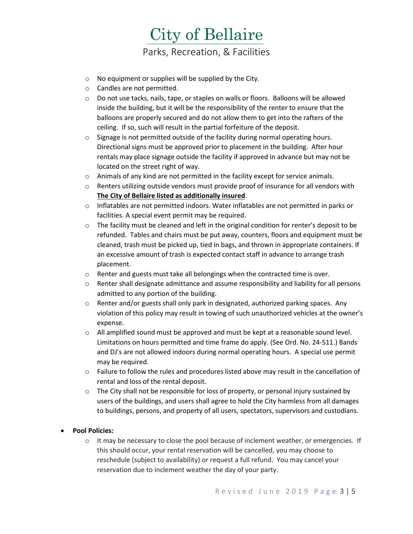

- o No equipment or supplies will be supplied by the City.
- o Candles are not permitted.
- o Do not use tacks, nails, tape, or staples on walls or floors. Balloons will be allowed inside the building, but it will be the responsibility of the renter to ensure that the balloons are properly secured and do not allow them to get into the rafters of the ceiling. If so, such will result in the partial forfeiture of the deposit.
- o Signage is not permitted outside of the facility during normal operating hours. Directional signs must be approved prior to placement in the building. After hour rentals may place signage outside the facility if approved in advance but may not be located on the street right of way.
- $\circ$  Animals of any kind are not permitted in the facility except for service animals.
- $\circ$  Renters utilizing outside vendors must provide proof of insurance for all vendors with **The City of Bellaire listed as additionally insured**.
- $\circ$  Inflatables are not permitted indoors. Water inflatables are not permitted in parks or facilities. A special event permit may be required.
- $\circ$  The facility must be cleaned and left in the original condition for renter's deposit to be refunded. Tables and chairs must be put away, counters, floors and equipment must be cleaned, trash must be picked up, tied in bags, and thrown in appropriate containers. If an excessive amount of trash is expected contact staff in advance to arrange trash placement.
- o Renter and guests must take all belongings when the contracted time is over.
- $\circ$  Renter shall designate admittance and assume responsibility and liability for all persons admitted to any portion of the building.
- $\circ$  Renter and/or guests shall only park in designated, authorized parking spaces. Any violation of this policy may result in towing of such unauthorized vehicles at the owner's expense.
- $\circ$  All amplified sound must be approved and must be kept at a reasonable sound level. Limitations on hours permitted and time frame do apply. (See Ord. No. 24-511.) Bands and DJ's are not allowed indoors during normal operating hours. A special use permit may be required.
- $\circ$  Failure to follow the rules and procedures listed above may result in the cancellation of rental and loss of the rental deposit.
- $\circ$  The City shall not be responsible for loss of property, or personal injury sustained by users of the buildings, and users shall agree to hold the City harmless from all damages to buildings, persons, and property of all users, spectators, supervisors and custodians.

### • **Pool Policies:**

o It may be necessary to close the pool because of inclement weather, or emergencies. If this should occur, your rental reservation will be cancelled, you may choose to reschedule (subject to availability) or request a full refund. You may cancel your reservation due to inclement weather the day of your party.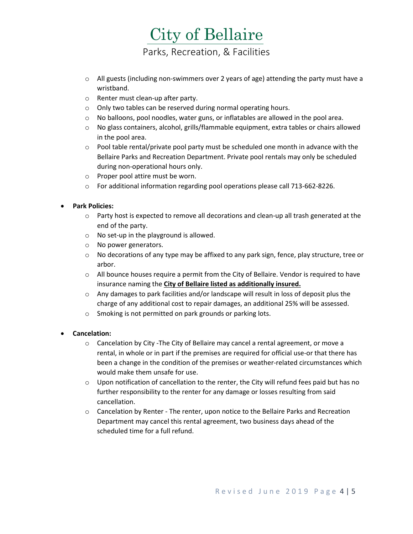## City of Bellaire Parks, Recreation, & Facilities

- $\circ$  All guests (including non-swimmers over 2 years of age) attending the party must have a wristband.
- o Renter must clean-up after party.
- o Only two tables can be reserved during normal operating hours.
- $\circ$  No balloons, pool noodles, water guns, or inflatables are allowed in the pool area.
- $\circ$  No glass containers, alcohol, grills/flammable equipment, extra tables or chairs allowed in the pool area.
- $\circ$  Pool table rental/private pool party must be scheduled one month in advance with the Bellaire Parks and Recreation Department. Private pool rentals may only be scheduled during non-operational hours only.
- o Proper pool attire must be worn.
- o For additional information regarding pool operations please call 713-662-8226.

### • **Park Policies:**

- $\circ$  Party host is expected to remove all decorations and clean-up all trash generated at the end of the party.
- o No set-up in the playground is allowed.
- o No power generators.
- $\circ$  No decorations of any type may be affixed to any park sign, fence, play structure, tree or arbor.
- $\circ$  All bounce houses require a permit from the City of Bellaire. Vendor is required to have insurance naming the **City of Bellaire listed as additionally insured.**
- o Any damages to park facilities and/or landscape will result in loss of deposit plus the charge of any additional cost to repair damages, an additional 25% will be assessed.
- o Smoking is not permitted on park grounds or parking lots.

### • **Cancelation:**

- $\circ$  Cancelation by City -The City of Bellaire may cancel a rental agreement, or move a rental, in whole or in part if the premises are required for official use-or that there has been a change in the condition of the premises or weather-related circumstances which would make them unsafe for use.
- $\circ$  Upon notification of cancellation to the renter, the City will refund fees paid but has no further responsibility to the renter for any damage or losses resulting from said cancellation.
- o Cancelation by Renter The renter, upon notice to the Bellaire Parks and Recreation Department may cancel this rental agreement, two business days ahead of the scheduled time for a full refund.